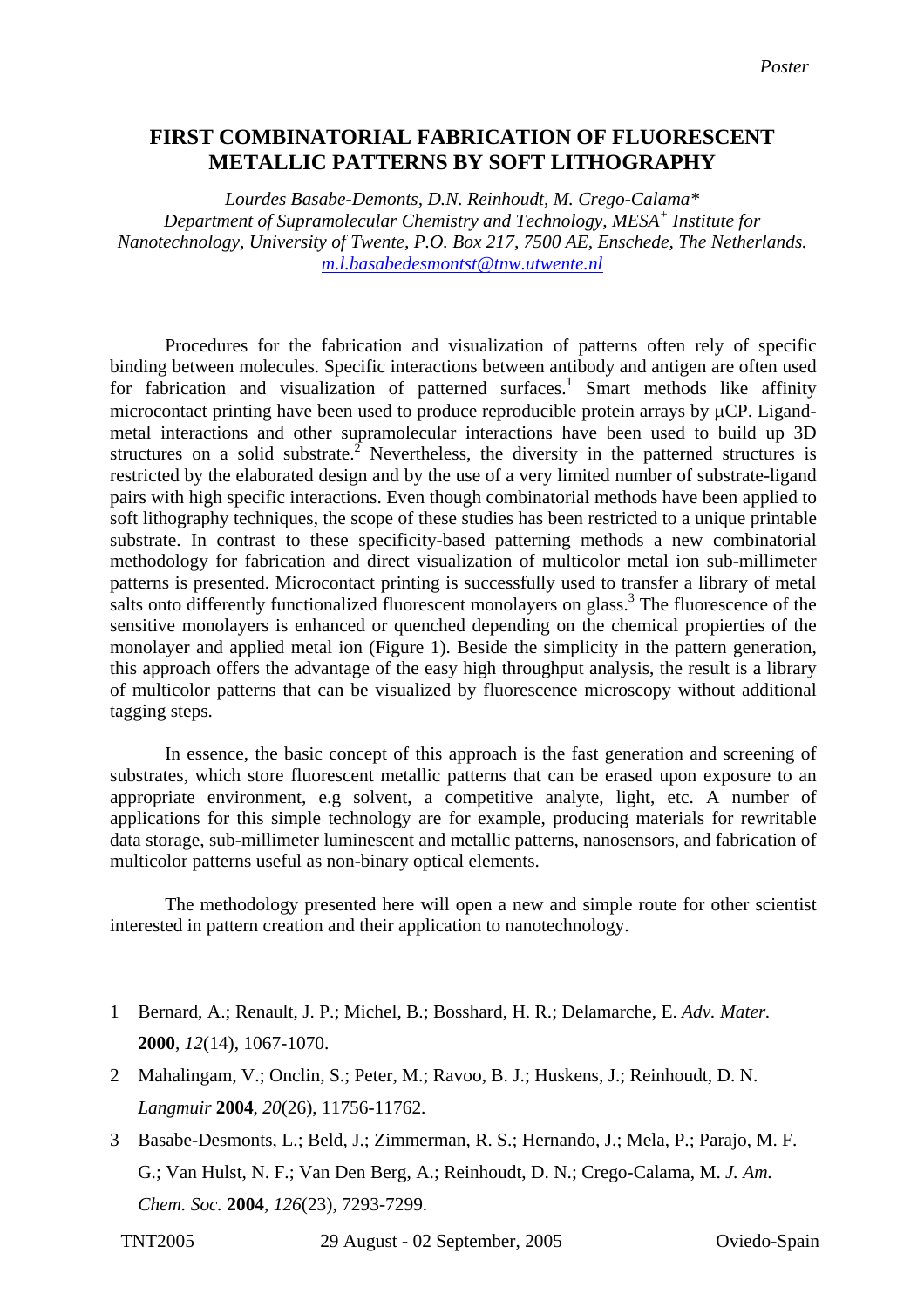## **FIRST COMBINATORIAL FABRICATION OF FLUORESCENT METALLIC PATTERNS BY SOFT LITHOGRAPHY**

*Lourdes Basabe-Demonts, D.N. Reinhoudt, M. Crego-Calama\* Department of Supramolecular Chemistry and Technology, MESA+ Institute for Nanotechnology, University of Twente, P.O. Box 217, 7500 AE, Enschede, The Netherlands. [m.l.basabedesmontst@tnw.utwente.nl](mailto:Contact@E-mail)*

Procedures for the fabrication and visualization of patterns often rely of specific binding between molecules. Specific interactions between antibody and antigen are often used for fabrication and visualization of patterned surfaces.<sup>1</sup> Smart methods like affinity microcontact printing have been used to produce reproducible protein arrays by  $\mu$ CP. Ligandmetal interactions and other supramolecular interactions have been used to build up 3D structures on a solid substrate.<sup>2</sup> Nevertheless, the diversity in the patterned structures is restricted by the elaborated design and by the use of a very limited number of substrate-ligand pairs with high specific interactions. Even though combinatorial methods have been applied to soft lithography techniques, the scope of these studies has been restricted to a unique printable substrate. In contrast to these specificity-based patterning methods a new combinatorial methodology for fabrication and direct visualization of multicolor metal ion sub-millimeter patterns is presented. Microcontact printing is successfully used to transfer a library of metal salts onto differently functionalized fluorescent monolayers on glass.<sup>3</sup> The fluorescence of the sensitive monolayers is enhanced or quenched depending on the chemical propierties of the monolayer and applied metal ion (Figure 1). Beside the simplicity in the pattern generation, this approach offers the advantage of the easy high throughput analysis, the result is a library of multicolor patterns that can be visualized by fluorescence microscopy without additional tagging steps.

In essence, the basic concept of this approach is the fast generation and screening of substrates, which store fluorescent metallic patterns that can be erased upon exposure to an appropriate environment, e.g solvent, a competitive analyte, light, etc. A number of applications for this simple technology are for example, producing materials for rewritable data storage, sub-millimeter luminescent and metallic patterns, nanosensors, and fabrication of multicolor patterns useful as non-binary optical elements.

The methodology presented here will open a new and simple route for other scientist interested in pattern creation and their application to nanotechnology.

- 1 Bernard, A.; Renault, J. P.; Michel, B.; Bosshard, H. R.; Delamarche, E. *Adv. Mater.*  **2000**, *12*(14), 1067-1070.
- 2 Mahalingam, V.; Onclin, S.; Peter, M.; Ravoo, B. J.; Huskens, J.; Reinhoudt, D. N. *Langmuir* **2004**, *20*(26), 11756-11762.
- 3 Basabe-Desmonts, L.; Beld, J.; Zimmerman, R. S.; Hernando, J.; Mela, P.; Parajo, M. F. G.; Van Hulst, N. F.; Van Den Berg, A.; Reinhoudt, D. N.; Crego-Calama, M. *J. Am. Chem. Soc.* **2004**, *126*(23), 7293-7299.